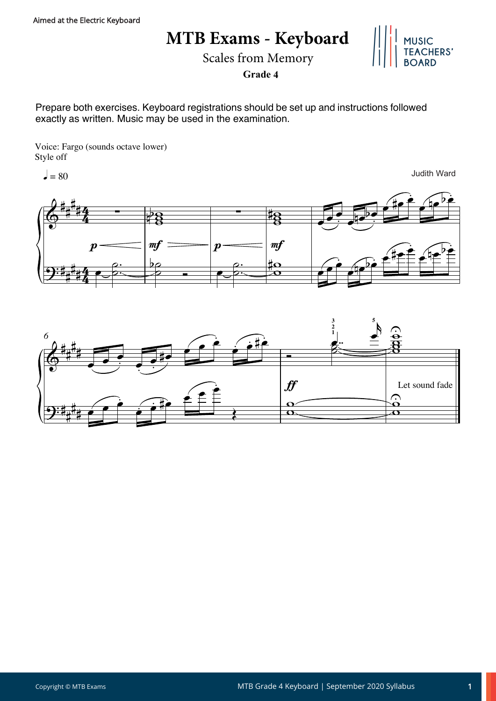## **MTB Exams - Keyboard**



Scales from Memory

**Grade 4**

Prepare both exercises. Keyboard registrations should be set up and instructions followed exactly as written. Music may be used in the examination.

Voice: Fargo (sounds octave lower) Style off

 $= 80$ 

Judith Ward